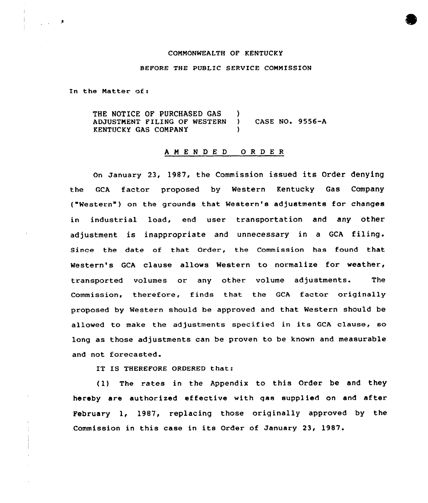# COMMONWEALTH OF KENTUCKY

## BEFORE THE PUBLIC SERVICE COMMISSION

In the Natter of <sup>x</sup>

THE NOTICE OF PURCHASED GAS ADJUSTMENT FILING OF WESTERN KENTUCKY GAS COMPANY )<br>) ) CASE NO. 9556-A )

#### <sup>A</sup> <sup>M</sup> <sup>E</sup> <sup>N</sup> <sup>D</sup> E <sup>D</sup> 0 <sup>R</sup> <sup>D</sup> <sup>E</sup> <sup>R</sup>

On January 23, 1987, the Commission issued its Order denying the GCA factor proposed by Western Kentucky Gas Company ("Western" ) on the grounds that Western's adjustments for changes in industrial load, end user transportation and any other adjustment is inappropriate and unnecessary in <sup>a</sup> GCA filing. Since the date of that Order., the Commission has found that Western's GCA clause allows Western to normalize for weather, transported volumes or any other volume adjustments. The Commission, therefore, finds that the GCA factor originally proposed by Western should be approved and that Western should be allowed to make the adjustments specified in its GCA clause, so long as those adjustments can be proven to be known and measurable and not forecasted.

IT IS THEREFORE ORDERED that:

(1) The rates in the Appendix to this Order be and they hereby are authorized effective with qas supplied on and after February 1, 1987, replacing those originally approved by the Commission in this case in its Order of January 23, 1987.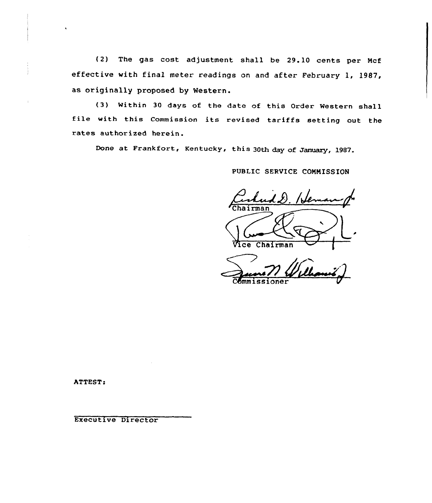(2) The gas cost adjustment shall be 29.10 cents per Ncf effective with final meter readings on and after February 1, 1987, as originally proposed by Western.

{3) Within <sup>30</sup> days of the date of this Order Western shall file with this Commission its revised tariffs setting out the rates authorized herein.

Done at Frankfort, Kentucky, this 30th day of January, 1987.

PUBLIC SERVICE COMMISSION

 $\mathcal{L}u\mathcal{L}L$ . 16 airman

Vice Chairman  $\bigoplus$ j

oner

ATTEST:

Executive Director